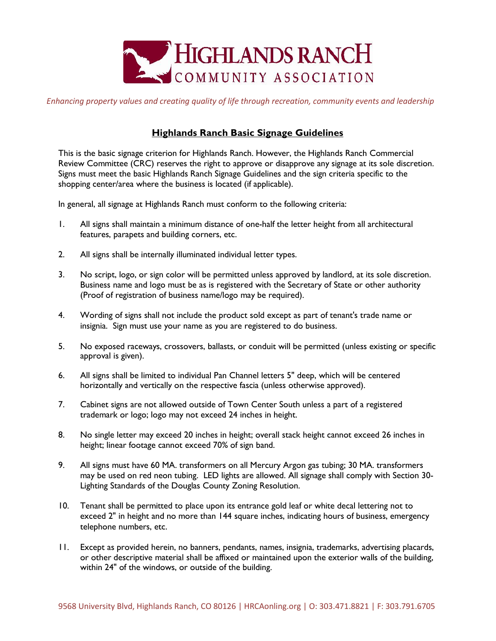

*Enhancing property values and creating quality of life through recreation, community events and leadership*

## **Highlands Ranch Basic Signage Guidelines**

This is the basic signage criterion for Highlands Ranch. However, the Highlands Ranch Commercial Review Committee (CRC) reserves the right to approve or disapprove any signage at its sole discretion. Signs must meet the basic Highlands Ranch Signage Guidelines and the sign criteria specific to the shopping center/area where the business is located (if applicable).

In general, all signage at Highlands Ranch must conform to the following criteria:

- 1. All signs shall maintain a minimum distance of one-half the letter height from all architectural features, parapets and building corners, etc.
- 2. All signs shall be internally illuminated individual letter types.
- 3. No script, logo, or sign color will be permitted unless approved by landlord, at its sole discretion. Business name and logo must be as is registered with the Secretary of State or other authority (Proof of registration of business name/logo may be required).
- 4. Wording of signs shall not include the product sold except as part of tenant's trade name or insignia. Sign must use your name as you are registered to do business.
- 5. No exposed raceways, crossovers, ballasts, or conduit will be permitted (unless existing or specific approval is given).
- 6. All signs shall be limited to individual Pan Channel letters 5" deep, which will be centered horizontally and vertically on the respective fascia (unless otherwise approved).
- 7. Cabinet signs are not allowed outside of Town Center South unless a part of a registered trademark or logo; logo may not exceed 24 inches in height.
- 8. No single letter may exceed 20 inches in height; overall stack height cannot exceed 26 inches in height; linear footage cannot exceed 70% of sign band.
- 9. All signs must have 60 MA. transformers on all Mercury Argon gas tubing; 30 MA. transformers may be used on red neon tubing. LED lights are allowed. All signage shall comply with Section 30- Lighting Standards of the Douglas County Zoning Resolution.
- 10. Tenant shall be permitted to place upon its entrance gold leaf or white decal lettering not to exceed 2" in height and no more than 144 square inches, indicating hours of business, emergency telephone numbers, etc.
- 11. Except as provided herein, no banners, pendants, names, insignia, trademarks, advertising placards, or other descriptive material shall be affixed or maintained upon the exterior walls of the building, within 24" of the windows, or outside of the building.